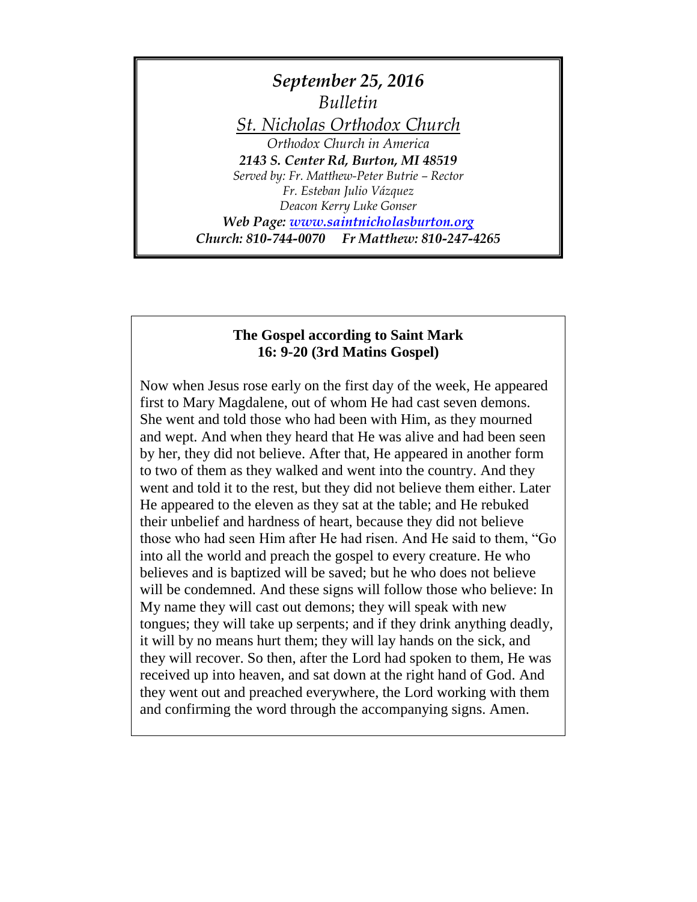

#### **The Gospel according to Saint Mark 16: 9-20 (3rd Matins Gospel)**

Now when Jesus rose early on the first day of the week, He appeared first to Mary Magdalene, out of whom He had cast seven demons. She went and told those who had been with Him, as they mourned and wept. And when they heard that He was alive and had been seen by her, they did not believe. After that, He appeared in another form to two of them as they walked and went into the country. And they went and told it to the rest, but they did not believe them either. Later He appeared to the eleven as they sat at the table; and He rebuked their unbelief and hardness of heart, because they did not believe those who had seen Him after He had risen. And He said to them, "Go into all the world and preach the gospel to every creature. He who believes and is baptized will be saved; but he who does not believe will be condemned. And these signs will follow those who believe: In My name they will cast out demons; they will speak with new tongues; they will take up serpents; and if they drink anything deadly, it will by no means hurt them; they will lay hands on the sick, and they will recover. So then, after the Lord had spoken to them, He was received up into heaven, and sat down at the right hand of God. And they went out and preached everywhere, the Lord working with them and confirming the word through the accompanying signs. Amen.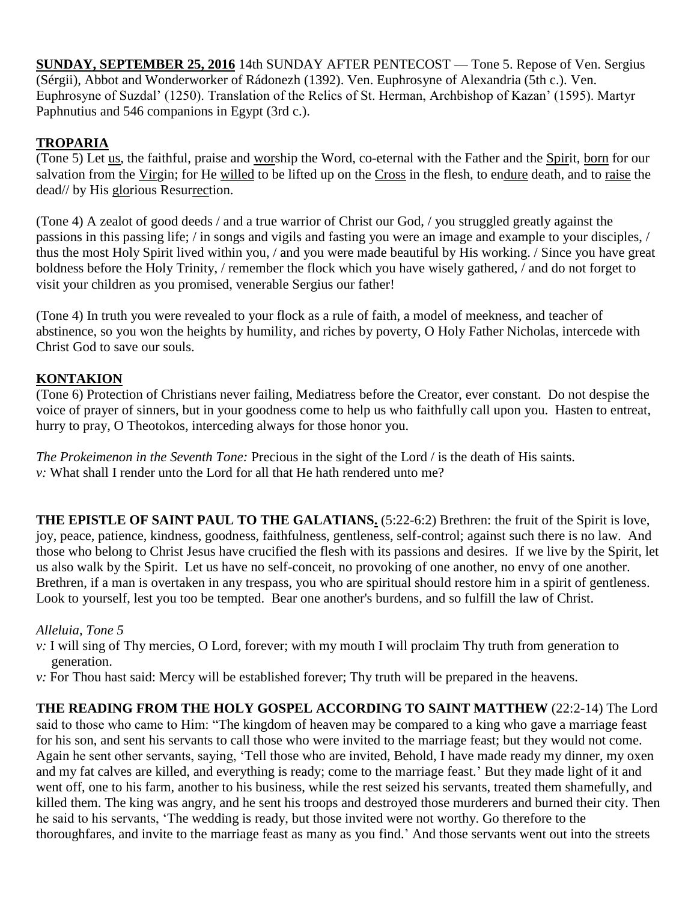**SUNDAY, SEPTEMBER 25, 2016** 14th SUNDAY AFTER PENTECOST — Tone 5. Repose of Ven. Sergius (Sérgii), Abbot and Wonderworker of Rádonezh (1392). Ven. Euphrosyne of Alexandria (5th c.). Ven. Euphrosyne of Suzdal' (1250). Translation of the Relics of St. Herman, Archbishop of Kazan' (1595). Martyr Paphnutius and 546 companions in Egypt (3rd c.).

# **TROPARIA**

(Tone 5) Let us, the faithful, praise and worship the Word, co-eternal with the Father and the Spirit, born for our salvation from the Virgin; for He willed to be lifted up on the Cross in the flesh, to endure death, and to raise the dead// by His glorious Resurrection.

(Tone 4) A zealot of good deeds / and a true warrior of Christ our God, / you struggled greatly against the passions in this passing life; / in songs and vigils and fasting you were an image and example to your disciples, / thus the most Holy Spirit lived within you, / and you were made beautiful by His working. / Since you have great boldness before the Holy Trinity, / remember the flock which you have wisely gathered, / and do not forget to visit your children as you promised, venerable Sergius our father!

(Tone 4) In truth you were revealed to your flock as a rule of faith, a model of meekness, and teacher of abstinence, so you won the heights by humility, and riches by poverty, O Holy Father Nicholas, intercede with Christ God to save our souls.

## **KONTAKION**

(Tone 6) Protection of Christians never failing, Mediatress before the Creator, ever constant. Do not despise the voice of prayer of sinners, but in your goodness come to help us who faithfully call upon you. Hasten to entreat, hurry to pray, O Theotokos, interceding always for those honor you.

*The Prokeimenon in the Seventh Tone:* Precious in the sight of the Lord / is the death of His saints. *v:* What shall I render unto the Lord for all that He hath rendered unto me?

**THE EPISTLE OF SAINT PAUL TO THE GALATIANS.** (5:22-6:2) Brethren: the fruit of the Spirit is love, joy, peace, patience, kindness, goodness, faithfulness, gentleness, self-control; against such there is no law. And those who belong to Christ Jesus have crucified the flesh with its passions and desires. If we live by the Spirit, let us also walk by the Spirit. Let us have no self-conceit, no provoking of one another, no envy of one another. Brethren, if a man is overtaken in any trespass, you who are spiritual should restore him in a spirit of gentleness. Look to yourself, lest you too be tempted. Bear one another's burdens, and so fulfill the law of Christ.

## *Alleluia, Tone 5*

- *v*: I will sing of Thy mercies, O Lord, forever; with my mouth I will proclaim Thy truth from generation to generation.
- *v:* For Thou hast said: Mercy will be established forever; Thy truth will be prepared in the heavens.

**THE READING FROM THE HOLY GOSPEL ACCORDING TO SAINT MATTHEW** (22:2-14) The Lord said to those who came to Him: "The kingdom of heaven may be compared to a king who gave a marriage feast for his son, and sent his servants to call those who were invited to the marriage feast; but they would not come. Again he sent other servants, saying, 'Tell those who are invited, Behold, I have made ready my dinner, my oxen and my fat calves are killed, and everything is ready; come to the marriage feast.' But they made light of it and went off, one to his farm, another to his business, while the rest seized his servants, treated them shamefully, and killed them. The king was angry, and he sent his troops and destroyed those murderers and burned their city. Then he said to his servants, 'The wedding is ready, but those invited were not worthy. Go therefore to the thoroughfares, and invite to the marriage feast as many as you find.' And those servants went out into the streets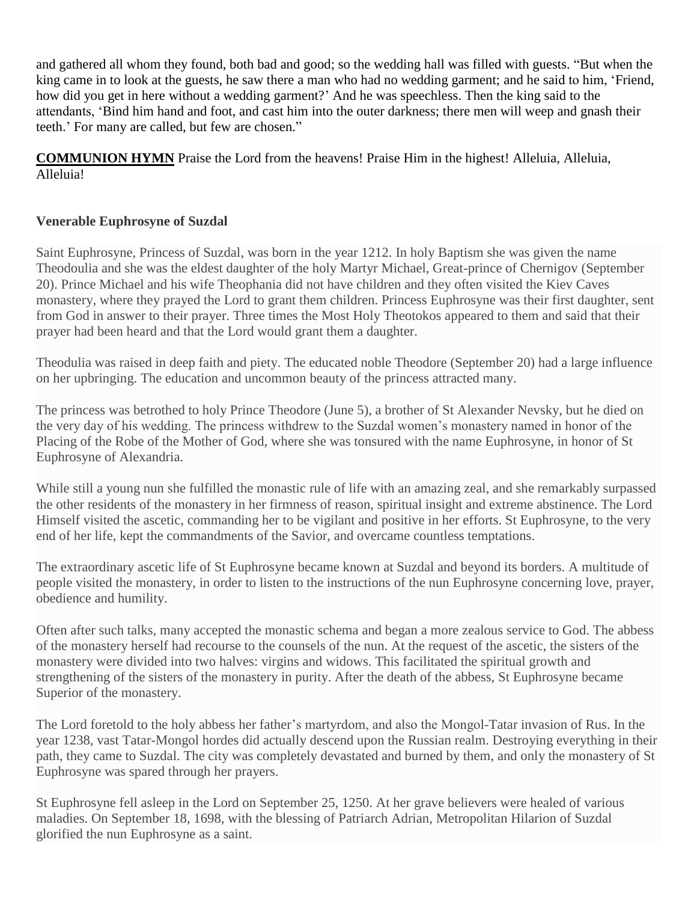and gathered all whom they found, both bad and good; so the wedding hall was filled with guests. "But when the king came in to look at the guests, he saw there a man who had no wedding garment; and he said to him, 'Friend, how did you get in here without a wedding garment?' And he was speechless. Then the king said to the attendants, 'Bind him hand and foot, and cast him into the outer darkness; there men will weep and gnash their teeth.' For many are called, but few are chosen."

**COMMUNION HYMN** Praise the Lord from the heavens! Praise Him in the highest! Alleluia, Alleluia, Alleluia!

### **Venerable Euphrosyne of Suzdal**

Saint Euphrosyne, Princess of Suzdal, was born in the year 1212. In holy Baptism she was given the name Theodoulia and she was the eldest daughter of the holy Martyr Michael, Great-prince of Chernigov (September 20). Prince Michael and his wife Theophania did not have children and they often visited the Kiev Caves monastery, where they prayed the Lord to grant them children. Princess Euphrosyne was their first daughter, sent from God in answer to their prayer. Three times the Most Holy Theotokos appeared to them and said that their prayer had been heard and that the Lord would grant them a daughter.

Theodulia was raised in deep faith and piety. The educated noble Theodore (September 20) had a large influence on her upbringing. The education and uncommon beauty of the princess attracted many.

The princess was betrothed to holy Prince Theodore (June 5), a brother of St Alexander Nevsky, but he died on the very day of his wedding. The princess withdrew to the Suzdal women's monastery named in honor of the Placing of the Robe of the Mother of God, where she was tonsured with the name Euphrosyne, in honor of St Euphrosyne of Alexandria.

While still a young nun she fulfilled the monastic rule of life with an amazing zeal, and she remarkably surpassed the other residents of the monastery in her firmness of reason, spiritual insight and extreme abstinence. The Lord Himself visited the ascetic, commanding her to be vigilant and positive in her efforts. St Euphrosyne, to the very end of her life, kept the commandments of the Savior, and overcame countless temptations.

The extraordinary ascetic life of St Euphrosyne became known at Suzdal and beyond its borders. A multitude of people visited the monastery, in order to listen to the instructions of the nun Euphrosyne concerning love, prayer, obedience and humility.

Often after such talks, many accepted the monastic schema and began a more zealous service to God. The abbess of the monastery herself had recourse to the counsels of the nun. At the request of the ascetic, the sisters of the monastery were divided into two halves: virgins and widows. This facilitated the spiritual growth and strengthening of the sisters of the monastery in purity. After the death of the abbess, St Euphrosyne became Superior of the monastery.

The Lord foretold to the holy abbess her father's martyrdom, and also the Mongol-Tatar invasion of Rus. In the year 1238, vast Tatar-Mongol hordes did actually descend upon the Russian realm. Destroying everything in their path, they came to Suzdal. The city was completely devastated and burned by them, and only the monastery of St Euphrosyne was spared through her prayers.

St Euphrosyne fell asleep in the Lord on September 25, 1250. At her grave believers were healed of various maladies. On September 18, 1698, with the blessing of Patriarch Adrian, Metropolitan Hilarion of Suzdal glorified the nun Euphrosyne as a saint.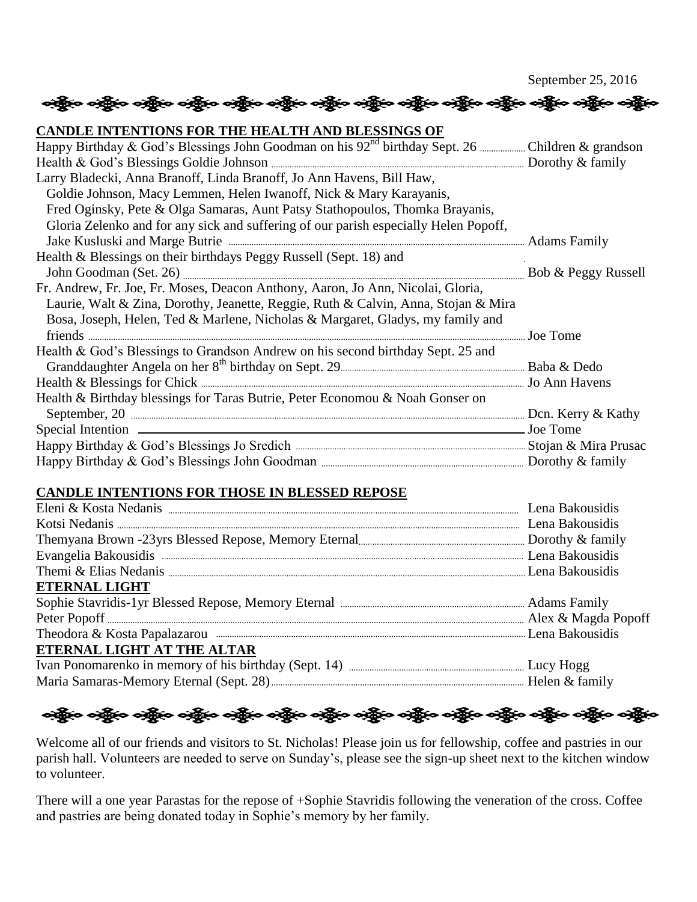September 25, 2016

**CANDLE INTENTIONS FOR THE HEALTH AND BLESSINGS OF**  Happy Birthday & God's Blessings John Goodman on his 92nd birthday Sept. 26 Children & grandson Health & God's Blessings Goldie Johnson Dorothy & family Larry Bladecki, Anna Branoff, Linda Branoff, Jo Ann Havens, Bill Haw, Goldie Johnson, Macy Lemmen, Helen Iwanoff, Nick & Mary Karayanis, Fred Oginsky, Pete & Olga Samaras, Aunt Patsy Stathopoulos, Thomka Brayanis, Gloria Zelenko and for any sick and suffering of our parish especially Helen Popoff, Jake Kusluski and Marge Butrie <sub>memmana</sub> memberutkan kemudian pada atas Family Health & Blessings on their birthdays Peggy Russell (Sept. 18) and John Goodman (Set. 26) **Manual Accredit Cool** Bob & Peggy Russell Fr. Andrew, Fr. Joe, Fr. Moses, Deacon Anthony, Aaron, Jo Ann, Nicolai, Gloria, Laurie, Walt & Zina, Dorothy, Jeanette, Reggie, Ruth & Calvin, Anna, Stojan & Mira Bosa, Joseph, Helen, Ted & Marlene, Nicholas & Margaret, Gladys, my family and friends Joe Tome Health & God's Blessings to Grandson Andrew on his second birthday Sept. 25 and Granddaughter Angela on her 8<sup>th</sup> birthday on Sept. 29 **Baba Baba & Dedo** Baba & Dedo Health & Blessings for Chick Jo Ann Havens Health & Birthday blessings for Taras Butrie, Peter Economou & Noah Gonser on September, 20 Dcn. Kerry & Kathy Special Intention  $\overline{\phantom{a}}$  Joe Tome Happy Birthday & God's Blessings Jo Sredich Stojan & Mira Prusac Happy Birthday & God's Blessings John Goodman Dorothy & family

းရွိေလးရွိေလးရွိေလးရွိေတြကို ေပါ့ရွိေလးရွိေတြက သန္တိုေလးရွိေတြကို ေရာက္ရွိေတြကို ေပါ့ရွိေတြကို ေ

### **CANDLE INTENTIONS FOR THOSE IN BLESSED REPOSE**



Welcome all of our friends and visitors to St. Nicholas! Please join us for fellowship, coffee and pastries in our parish hall. Volunteers are needed to serve on Sunday's, please see the sign-up sheet next to the kitchen window to volunteer.

There will a one year Parastas for the repose of +Sophie Stavridis following the veneration of the cross. Coffee and pastries are being donated today in Sophie's memory by her family.